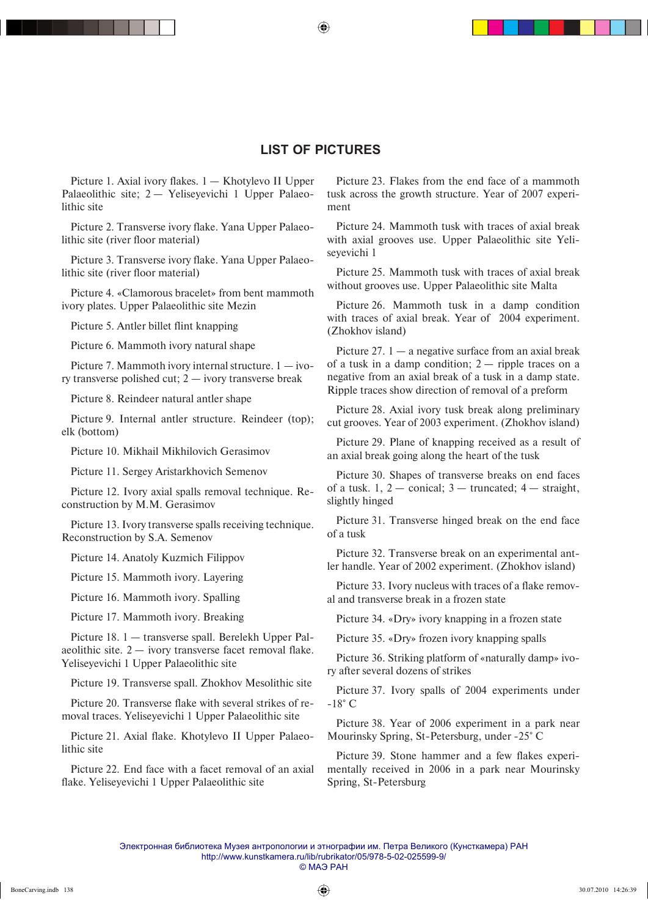## **LIST OF PICTURES**

Picture 1. Axial ivory flakes. 1 — Khotylevo II Upper Palaeolithic site; 2 — Yeliseyevichi 1 Upper Palaeolithic site

Picture 2. Transverse ivory flake. Yana Upper Palaeolithic site (river floor material)

Picture 3. Transverse ivory flake. Yana Upper Palaeolithic site (river floor material)

Picture 4. «Clamorous bracelet» from bent mammoth ivory plates. Upper Palaeolithic site Mezin

Picture 5. Antler billet flint knapping

Picture 6. Mammoth ivory natural shape

Picture 7. Mammoth ivory internal structure.  $1 - i$ vory transverse polished cut; 2 — ivory transverse break

Picture 8. Reindeer natural antler shape

Picture 9. Internal antler structure. Reindeer (top); elk (bottom)

Picture 10. Mikhail Mikhilovich Gerasimov

Picture 11. Sergey Aristarkhovich Semenov

Picture 12. Ivory axial spalls removal technique. Reconstruction by M.M. Gerasimov

Picture 13. Ivory transverse spalls receiving technique. Reconstruction by S.A. Semenov

Picture 14. Anatoly Kuzmich Filippov

Picture 15. Mammoth ivory. Layering

Picture 16. Mammoth ivory. Spalling

Picture 17. Mammoth ivory. Breaking

Picture 18. 1 — transverse spall. Berelekh Upper Palaeolithic site.  $2 - i$ vory transverse facet removal flake. Yeliseyevichi 1 Upper Palaeolithic site

Picture 19. Transverse spall. Zhokhov Mesolithic site

Picture 20. Transverse flake with several strikes of removal traces. Yeliseyevichi 1 Upper Palaeolithic site

Picture 21. Axial flake. Khotylevo II Upper Palaeolithic site

Picture 22. End face with a facet removal of an axial flake. Yeliseyevichi 1 Upper Palaeolithic site

Picture 23. Flakes from the end face of a mammoth tusk across the growth structure. Year of 2007 experiment

Picture 24. Mammoth tusk with traces of axial break with axial grooves use. Upper Palaeolithic site Yeliseyevichi 1

Picture 25. Mammoth tusk with traces of axial break without grooves use. Upper Palaeolithic site Malta

Picture 26. Mammoth tusk in a damp condition with traces of axial break. Year of 2004 experiment. (Zhokhov island)

Picture 27.  $1 - a$  negative surface from an axial break of a tusk in a damp condition;  $2 -$  ripple traces on a negative from an axial break of a tusk in a damp state. Ripple traces show direction of removal of a preform

Picture 28. Axial ivory tusk break along preliminary cut grooves. Year of 2003 experiment. (Zhokhov island)

Picture 29. Plane of knapping received as a result of an axial break going along the heart of the tusk

Picture 30. Shapes of transverse breaks on end faces of a tusk. 1,  $2 - \text{conical}$ ;  $3 - \text{truncated}$ ;  $4 - \text{straight}$ , slightly hinged

Picture 31. Transverse hinged break on the end face of a tusk

Picture 32. Transverse break on an experimental antler handle. Year of 2002 experiment. (Zhokhov island)

Picture 33. Ivory nucleus with traces of a flake removal and transverse break in a frozen state

Picture 34. «Dry» ivory knapping in a frozen state

Picture 35. «Dry» frozen ivory knapping spalls

Picture 36. Striking platform of «naturally damp» ivory after several dozens of strikes

Picture 37. Ivory spalls of 2004 experiments under  $-18^\circ$  C

Picture 38. Year of 2006 experiment in a park near Mourinsky Spring, St-Petersburg, under -25° C

Picture 39. Stone hammer and a few flakes experimentally received in 2006 in a park near Mourinsky Spring, St-Petersburg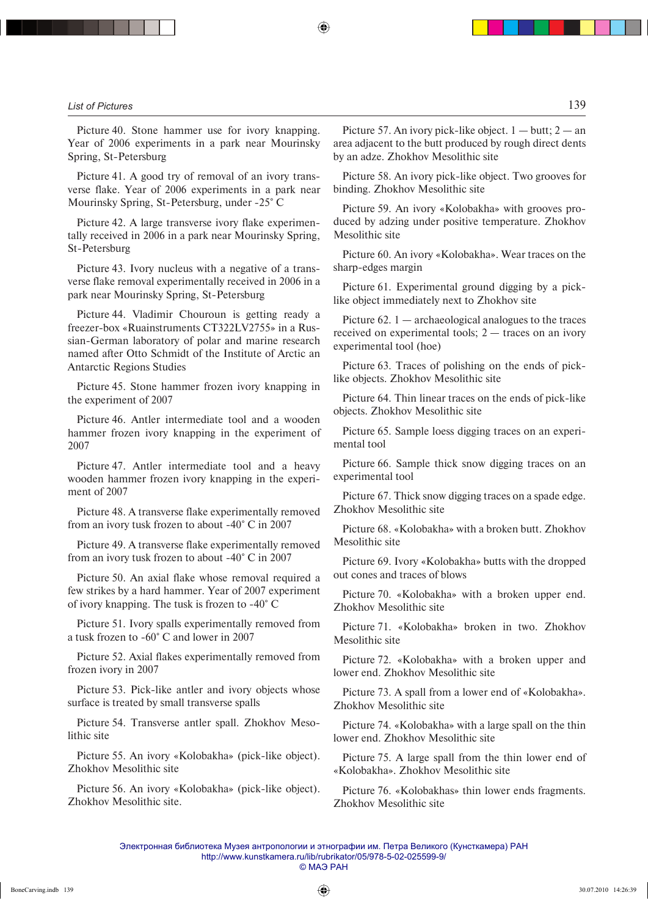Picture 40. Stone hammer use for ivory knapping. Year of 2006 experiments in a park near Mourinsky Spring, St-Petersburg

Picture 41. A good try of removal of an ivory transverse flake. Year of 2006 experiments in a park near Mourinsky Spring, St-Petersburg, under -25° C

Picture 42. A large transverse ivory flake experimentally received in 2006 in a park near Mourinsky Spring, St-Petersburg

Picture 43. Ivory nucleus with a negative of a transverse flake removal experimentally received in 2006 in a park near Mourinsky Spring, St-Petersburg

Picture 44. Vladimir Chouroun is getting ready a freezer-box «Ruainstruments CT322LV2755» in a Russian-German laboratory of polar and marine research named after Otto Schmidt of the Institute of Arctic an Antarctic Regions Studies

Picture 45. Stone hammer frozen ivory knapping in the experiment of 2007

Picture 46. Antler intermediate tool and a wooden hammer frozen ivory knapping in the experiment of 2007

Picture 47. Antler intermediate tool and a heavy wooden hammer frozen ivory knapping in the experiment of 2007

Picture 48. A transverse flake experimentally removed from an ivory tusk frozen to about -40° C in 2007

Picture 49. A transverse flake experimentally removed from an ivory tusk frozen to about -40° C in 2007

Picture 50. An axial flake whose removal required a few strikes by a hard hammer. Year of 2007 experiment of ivory knapping. The tusk is frozen to -40° C

Picture 51. Ivory spalls experimentally removed from a tusk frozen to -60° C and lower in 2007

Picture 52. Axial flakes experimentally removed from frozen ivory in 2007

Picture 53. Pick-like antler and ivory objects whose surface is treated by small transverse spalls

Picture 54. Transverse antler spall. Zhokhov Mesolithic site

Picture 55. An ivory «Kolobakha» (pick-like object). Zhokhov Mesolithic site

Picture 56. An ivory «Kolobakha» (pick-like object). Zhokhov Mesolithic site.

Picture 57. An ivory pick-like object.  $1 - \text{butt}$ ;  $2 - \text{an}$ area adjacent to the butt produced by rough direct dents by an adze. Zhokhov Mesolithic site

Picture 58. An ivory pick-like object. Two grooves for binding. Zhokhov Mesolithic site

Picture 59. An ivory «Kolobakha» with grooves produced by adzing under positive temperature. Zhokhov Mesolithic site

Picture 60. An ivory «Kolobakha». Wear traces on the sharp-edges margin

Picture 61. Experimental ground digging by a picklike object immediately next to Zhokhov site

Picture 62. 1 — archaeological analogues to the traces received on experimental tools; 2 — traces on an ivory experimental tool (hoe)

Picture 63. Traces of polishing on the ends of picklike objects. Zhokhov Mesolithic site

Picture 64. Thin linear traces on the ends of pick-like objects. Zhokhov Mesolithic site

Picture 65. Sample loess digging traces on an experimental tool

Picture 66. Sample thick snow digging traces on an experimental tool

Picture 67. Thick snow digging traces on a spade edge. Zhokhov Mesolithic site

Picture 68. «Kolobakha» with a broken butt. Zhokhov Mesolithic site

Picture 69. Ivory «Kolobakha» butts with the dropped out cones and traces of blows

Picture 70. «Kolobakha» with a broken upper end. Zhokhov Mesolithic site

Picture 71. «Kolobakha» broken in two. Zhokhov Mesolithic site

Picture 72. «Kolobakha» with a broken upper and lower end. Zhokhov Mesolithic site

Picture 73. A spall from a lower end of «Kolobakha». Zhokhov Mesolithic site

Picture 74. «Kolobakha» with a large spall on the thin lower end. Zhokhov Mesolithic site

Picture 75. A large spall from the thin lower end of «Kolobakha». Zhokhov Mesolithic site

Picture 76. «Kolobakhas» thin lower ends fragments. Zhokhov Mesolithic site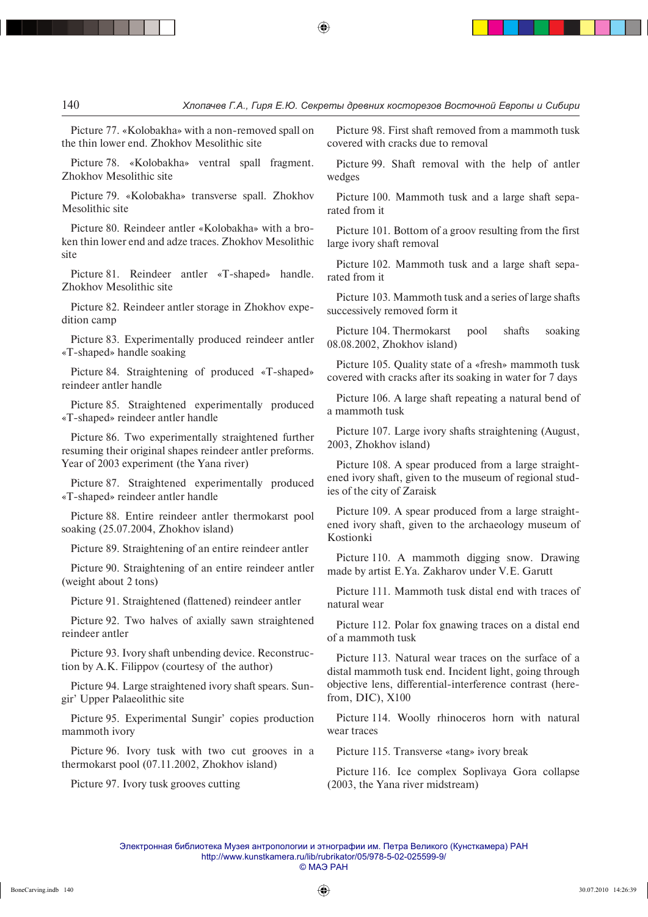Picture 77. «Kolobakha» with a non-removed spall on the thin lower end. Zhokhov Mesolithic site

Picture 78. «Kolobakha» ventral spall fragment. Zhokhov Mesolithic site

Picture 79. «Kolobakha» transverse spall. Zhokhov Mesolithic site

Picture 80. Reindeer antler «Kolobakha» with a broken thin lower end and adze traces. Zhokhov Mesolithic site

Picture 81. Reindeer antler «T-shaped» handle. Zhokhov Mesolithic site

Picture 82. Reindeer antler storage in Zhokhov expedition camp

Picture 83. Experimentally produced reindeer antler «T-shaped» handle soaking

Picture 84. Straightening of produced «T-shaped» reindeer antler handle

Picture 85. Straightened experimentally produced «T-shaped» reindeer antler handle

Picture 86. Two experimentally straightened further resuming their original shapes reindeer antler preforms. Year of 2003 experiment (the Yana river)

Picture 87. Straightened experimentally produced «T-shaped» reindeer antler handle

Picture 88. Entire reindeer antler thermokarst pool soaking (25.07.2004, Zhokhov island)

Picture 89. Straightening of an entire reindeer antler

Picture 90. Straightening of an entire reindeer antler (weight about 2 tons)

Picture 91. Straightened (flattened) reindeer antler

Picture 92. Two halves of axially sawn straightened reindeer antler

Picture 93. Ivory shaft unbending device. Reconstruction by A. K. Filippov (courtesy of the author)

Picture 94. Large straightened ivory shaft spears. Sungir' Upper Palaeolithic site

Picture 95. Experimental Sungir' copies production mammoth ivory

Picture 96. Ivory tusk with two cut grooves in a thermokarst pool (07.11.2002, Zhokhov island)

Picture 97. Ivory tusk grooves cutting

Picture 98. First shaft removed from a mammoth tusk covered with cracks due to removal

Picture 99. Shaft removal with the help of antler wedges

Picture 100. Mammoth tusk and a large shaft separated from it

Picture 101. Bottom of a groov resulting from the first large ivory shaft removal

Picture 102. Mammoth tusk and a large shaft separated from it

Picture 103. Mammoth tusk and a series of large shafts successively removed form it

Picture 104. Thermokarst pool shafts soaking 08.08.2002, Zhokhov island)

Picture 105. Quality state of a «fresh» mammoth tusk covered with cracks after its soaking in water for 7 days

Picture 106. A large shaft repeating a natural bend of a mammoth tusk

Picture 107. Large ivory shafts straightening (August, 2003, Zhokhov island)

Picture 108. A spear produced from a large straightened ivory shaft, given to the museum of regional studies of the city of Zaraisk

Picture 109. A spear produced from a large straightened ivory shaft, given to the archaeology museum of Kostionki

Picture 110. A mammoth digging snow. Drawing made by artist E. Ya. Zakharov under V. E. Garutt

Picture 111. Mammoth tusk distal end with traces of natural wear

Picture 112. Polar fox gnawing traces on a distal end of a mammoth tusk

Picture 113. Natural wear traces on the surface of a distal mammoth tusk end. Incident light, going through objective lens, differential-interference contrast (herefrom, DIC), Х100

Picture 114. Woolly rhinoceros horn with natural wear traces

Picture 115. Transverse «tang» ivory break

Picture 116. Ice complex Soplivaya Gora collapse (2003, the Yana river midstream)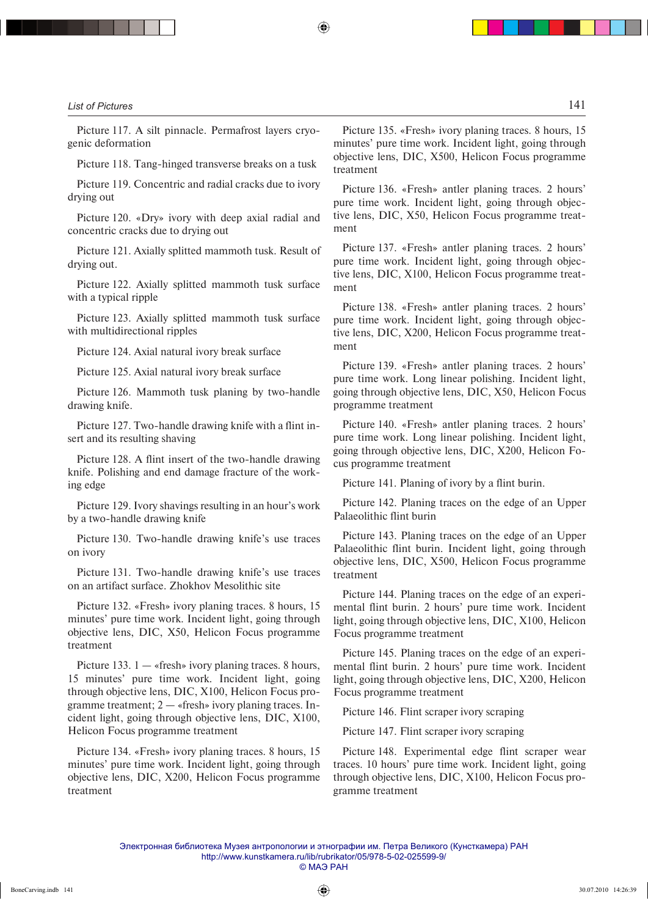Picture 117. A silt pinnacle. Permafrost layers cryogenic deformation

Picture 118. Tang-hinged transverse breaks on a tusk

Picture 119. Concentric and radial cracks due to ivory drying out

Picture 120. «Dry» ivory with deep axial radial and concentric cracks due to drying out

Picture 121. Axially splitted mammoth tusk. Result of drying out.

Picture 122. Axially splitted mammoth tusk surface with a typical ripple

Picture 123. Axially splitted mammoth tusk surface with multidirectional ripples

Picture 124. Axial natural ivory break surface

Picture 125. Axial natural ivory break surface

Picture 126. Mammoth tusk planing by two-handle drawing knife.

Picture 127. Two-handle drawing knife with a flint insert and its resulting shaving

Picture 128. A flint insert of the two-handle drawing knife. Polishing and end damage fracture of the working edge

Picture 129. Ivory shavings resulting in an hour's work by a two-handle drawing knife

Picture 130. Two-handle drawing knife's use traces on ivory

Picture 131. Two-handle drawing knife's use traces on an artifact surface. Zhokhov Mesolithic site

Picture 132. «Fresh» ivory planing traces. 8 hours, 15 minutes' pure time work. Incident light, going through objective lens, DIC, Х50, Helicon Focus programme treatment

Picture 133. 1 — «fresh» ivory planing traces. 8 hours, 15 minutes' pure time work. Incident light, going through objective lens, DIC, Х100, Helicon Focus programme treatment; 2 — «fresh» ivory planing traces. Incident light, going through objective lens, DIC, Х100, Helicon Focus programme treatment

Picture 134. «Fresh» ivory planing traces. 8 hours, 15 minutes' pure time work. Incident light, going through objective lens, DIC, Х200, Helicon Focus programme treatment

Picture 135. «Fresh» ivory planing traces. 8 hours, 15 minutes' pure time work. Incident light, going through objective lens, DIC, Х500, Helicon Focus programme treatment

Picture 136. «Fresh» antler planing traces. 2 hours' pure time work. Incident light, going through objective lens, DIC, Х50, Helicon Focus programme treatment

Picture 137. «Fresh» antler planing traces. 2 hours' pure time work. Incident light, going through objective lens, DIC, Х100, Helicon Focus programme treatment

Picture 138. «Fresh» antler planing traces. 2 hours' pure time work. Incident light, going through objective lens, DIC, Х200, Helicon Focus programme treatment

Picture 139. «Fresh» antler planing traces. 2 hours' pure time work. Long linear polishing. Incident light, going through objective lens, DIC, Х50, Helicon Focus programme treatment

Picture 140. «Fresh» antler planing traces. 2 hours' pure time work. Long linear polishing. Incident light, going through objective lens, DIC, Х200, Helicon Focus programme treatment

Picture 141. Planing of ivory by a flint burin.

Picture 142. Planing traces on the edge of an Upper Palaeolithic flint burin

Picture 143. Planing traces on the edge of an Upper Palaeolithic flint burin. Incident light, going through objective lens, DIC, Х500, Helicon Focus programme treatment

Picture 144. Planing traces on the edge of an experimental flint burin. 2 hours' pure time work. Incident light, going through objective lens, DIC, Х100, Helicon Focus programme treatment

Picture 145. Planing traces on the edge of an experimental flint burin. 2 hours' pure time work. Incident light, going through objective lens, DIC, Х200, Helicon Focus programme treatment

Picture 146. Flint scraper ivory scraping

Picture 147. Flint scraper ivory scraping

Picture 148. Experimental edge flint scraper wear traces. 10 hours' pure time work. Incident light, going through objective lens, DIC, Х100, Helicon Focus programme treatment